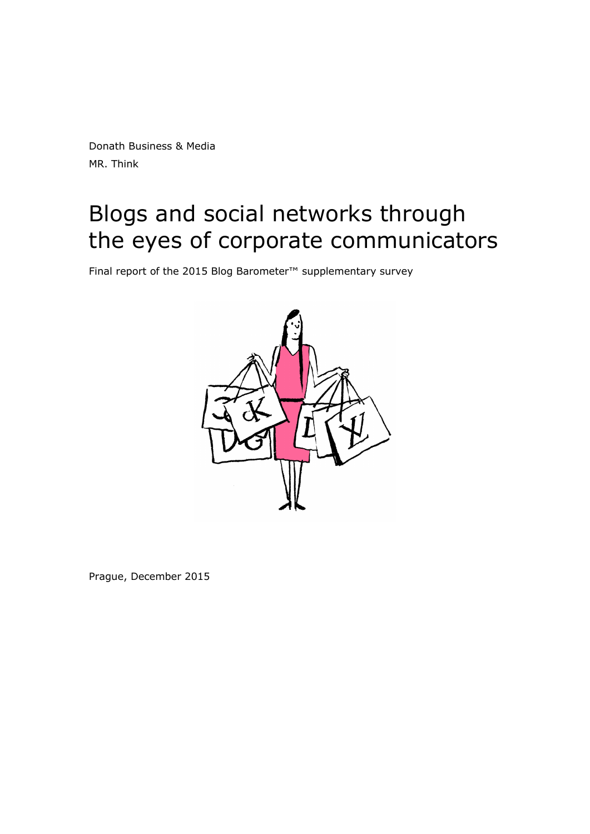Donath Business & Media MR. Think

# Blogs and social networks through the eyes of corporate communicators

Final report of the 2015 Blog Barometer™ supplementary survey



Prague, December 2015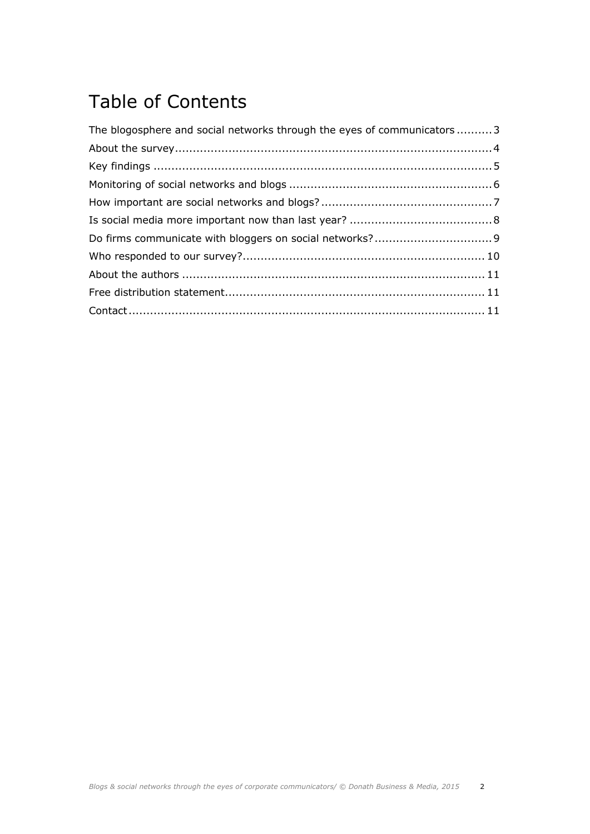## Table of Contents

| The blogosphere and social networks through the eyes of communicators  3 |  |
|--------------------------------------------------------------------------|--|
|                                                                          |  |
|                                                                          |  |
|                                                                          |  |
|                                                                          |  |
|                                                                          |  |
|                                                                          |  |
|                                                                          |  |
|                                                                          |  |
|                                                                          |  |
|                                                                          |  |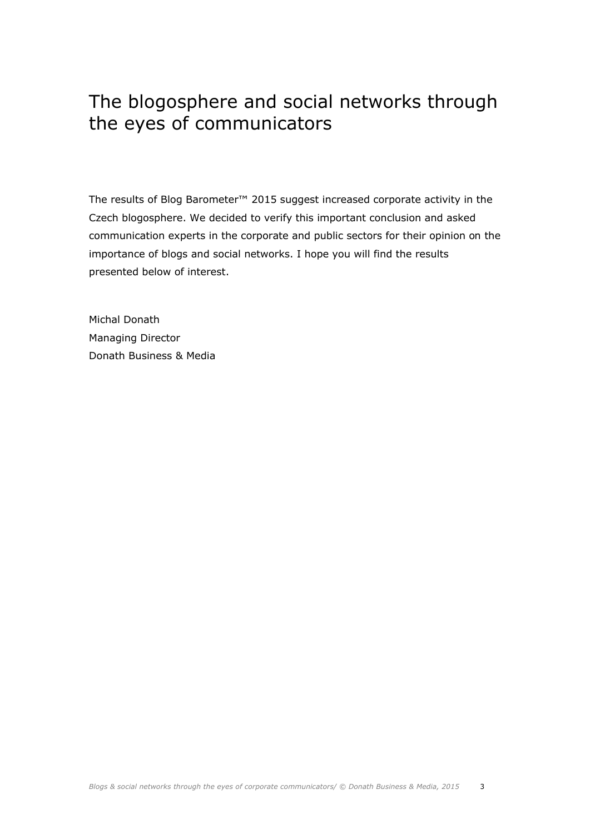#### The blogosphere and social networks through the eyes of communicators

The results of Blog Barometer™ 2015 suggest increased corporate activity in the Czech blogosphere. We decided to verify this important conclusion and asked communication experts in the corporate and public sectors for their opinion on the importance of blogs and social networks. I hope you will find the results presented below of interest.

Michal Donath Managing Director Donath Business & Media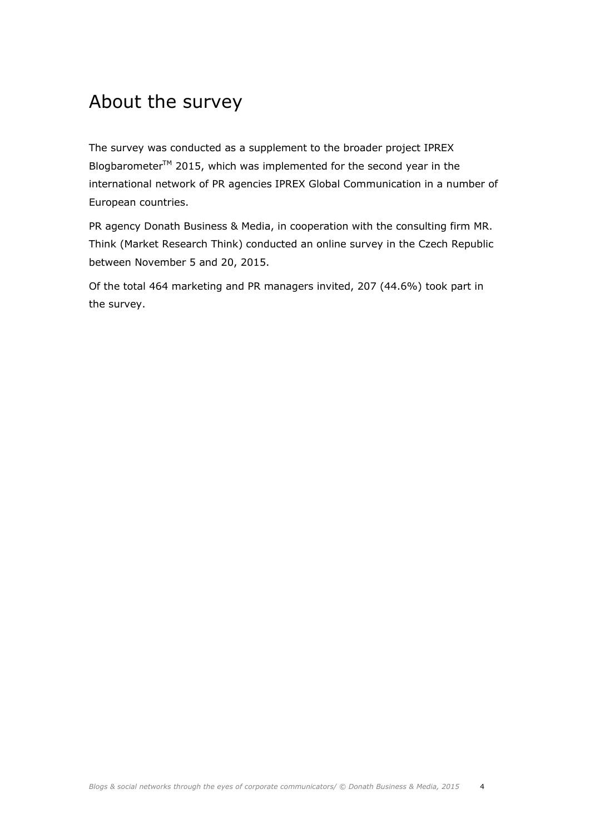#### About the survey

The survey was conducted as a supplement to the broader project IPREX Blogbarometer<sup>TM</sup> 2015, which was implemented for the second year in the international network of PR agencies IPREX Global Communication in a number of European countries.

PR agency Donath Business & Media, in cooperation with the consulting firm MR. Think (Market Research Think) conducted an online survey in the Czech Republic between November 5 and 20, 2015.

Of the total 464 marketing and PR managers invited, 207 (44.6%) took part in the survey.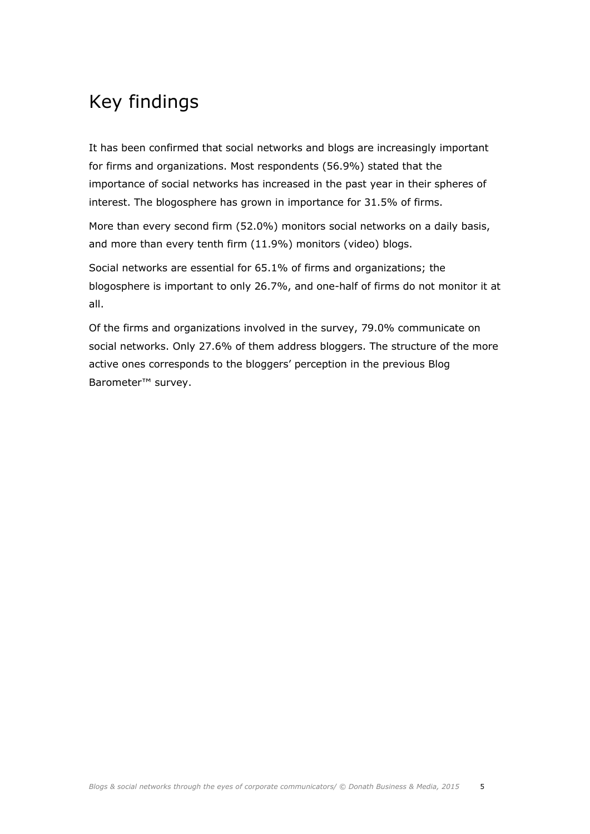## Key findings

It has been confirmed that social networks and blogs are increasingly important for firms and organizations. Most respondents (56.9%) stated that the importance of social networks has increased in the past year in their spheres of interest. The blogosphere has grown in importance for 31.5% of firms.

More than every second firm (52.0%) monitors social networks on a daily basis, and more than every tenth firm (11.9%) monitors (video) blogs.

Social networks are essential for 65.1% of firms and organizations; the blogosphere is important to only 26.7%, and one-half of firms do not monitor it at all.

Of the firms and organizations involved in the survey, 79.0% communicate on social networks. Only 27.6% of them address bloggers. The structure of the more active ones corresponds to the bloggers' perception in the previous Blog Barometer™ survey.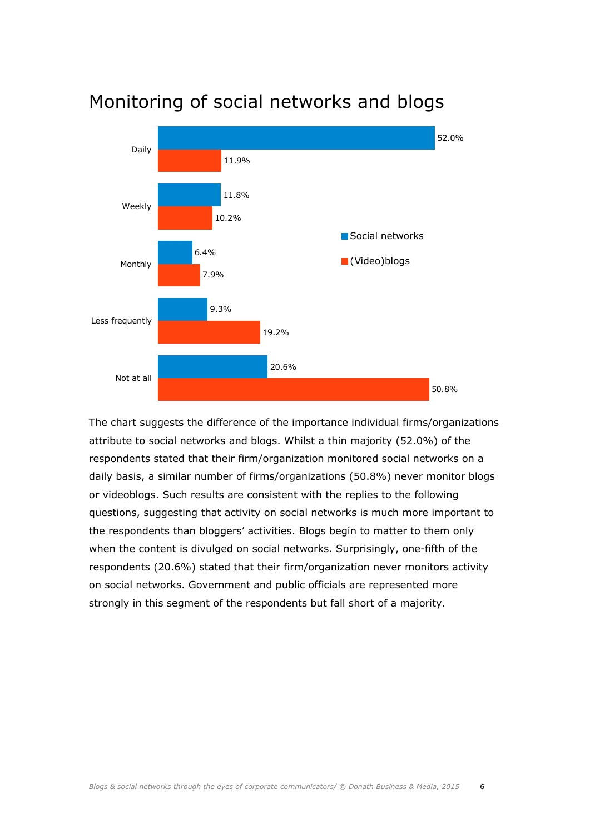

#### Monitoring of social networks and blogs

The chart suggests the difference of the importance individual firms/organizations attribute to social networks and blogs. Whilst a thin majority (52.0%) of the respondents stated that their firm/organization monitored social networks on a daily basis, a similar number of firms/organizations (50.8%) never monitor blogs or videoblogs. Such results are consistent with the replies to the following questions, suggesting that activity on social networks is much more important to the respondents than bloggers' activities. Blogs begin to matter to them only when the content is divulged on social networks. Surprisingly, one-fifth of the respondents (20.6%) stated that their firm/organization never monitors activity on social networks. Government and public officials are represented more strongly in this segment of the respondents but fall short of a majority.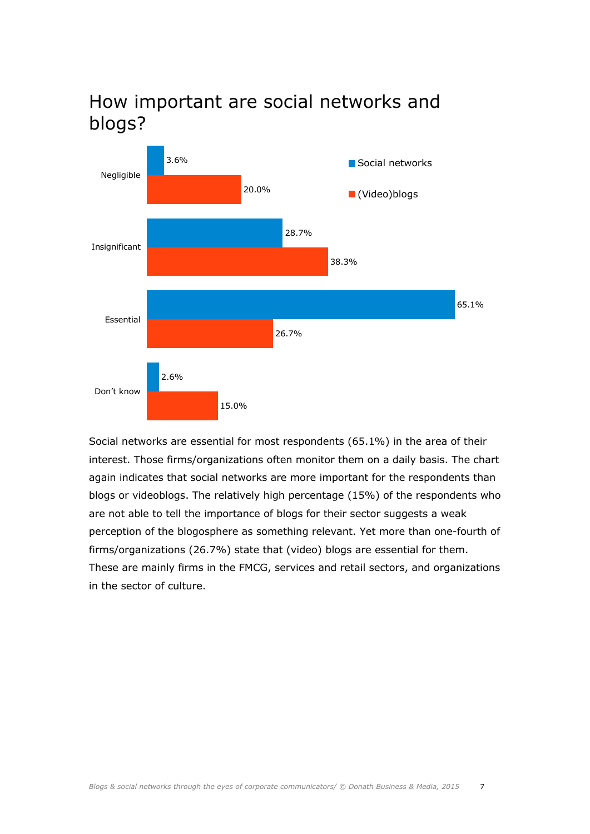

#### How important are social networks and blogs?

Social networks are essential for most respondents (65.1%) in the area of their interest. Those firms/organizations often monitor them on a daily basis. The chart again indicates that social networks are more important for the respondents than blogs or videoblogs. The relatively high percentage (15%) of the respondents who are not able to tell the importance of blogs for their sector suggests a weak perception of the blogosphere as something relevant. Yet more than one-fourth of firms/organizations (26.7%) state that (video) blogs are essential for them. These are mainly firms in the FMCG, services and retail sectors, and organizations in the sector of culture.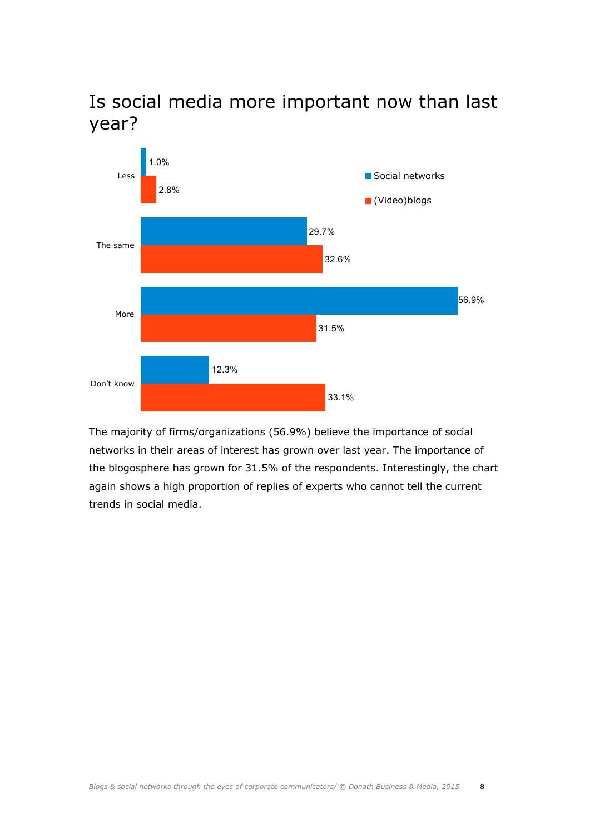

Is social media more important now than last year?

The majority of firms/organizations (56.9%) believe the importance of social networks in their areas of interest has grown over last year. The importance of the blogosphere has grown for 31.5% of the respondents. Interestingly, the chart again shows a high proportion of replies of experts who cannot tell the current trends in social media.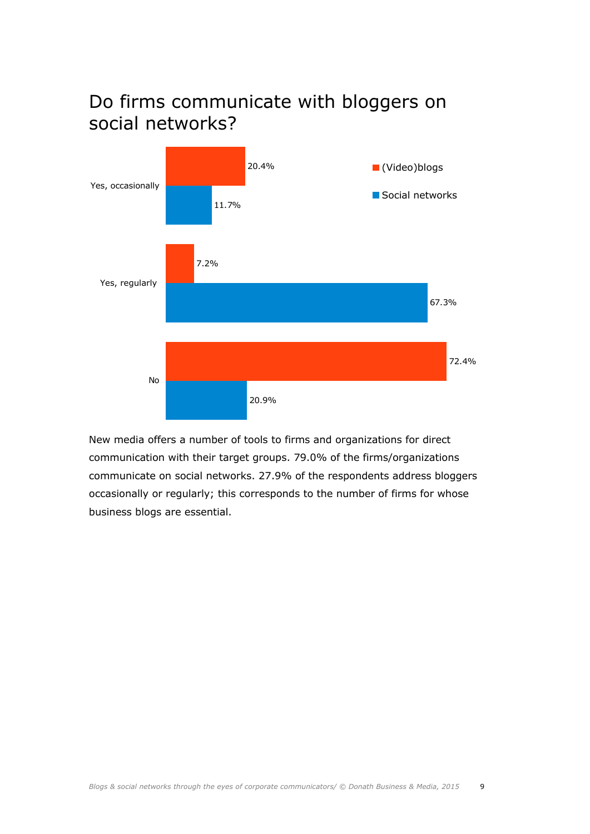



New media offers a number of tools to firms and organizations for direct communication with their target groups. 79.0% of the firms/organizations communicate on social networks. 27.9% of the respondents address bloggers occasionally or regularly; this corresponds to the number of firms for whose business blogs are essential.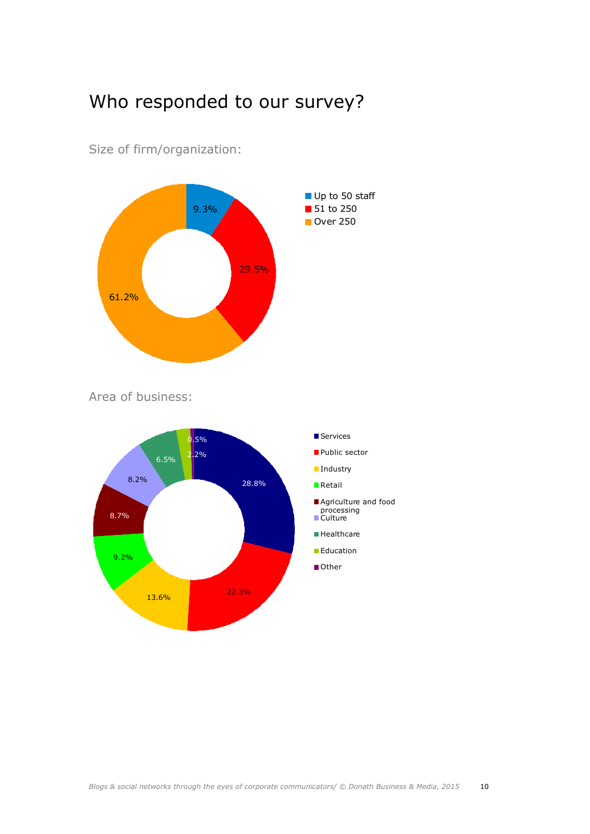#### Who responded to our survey?



Size of firm/organization:

Area of business: